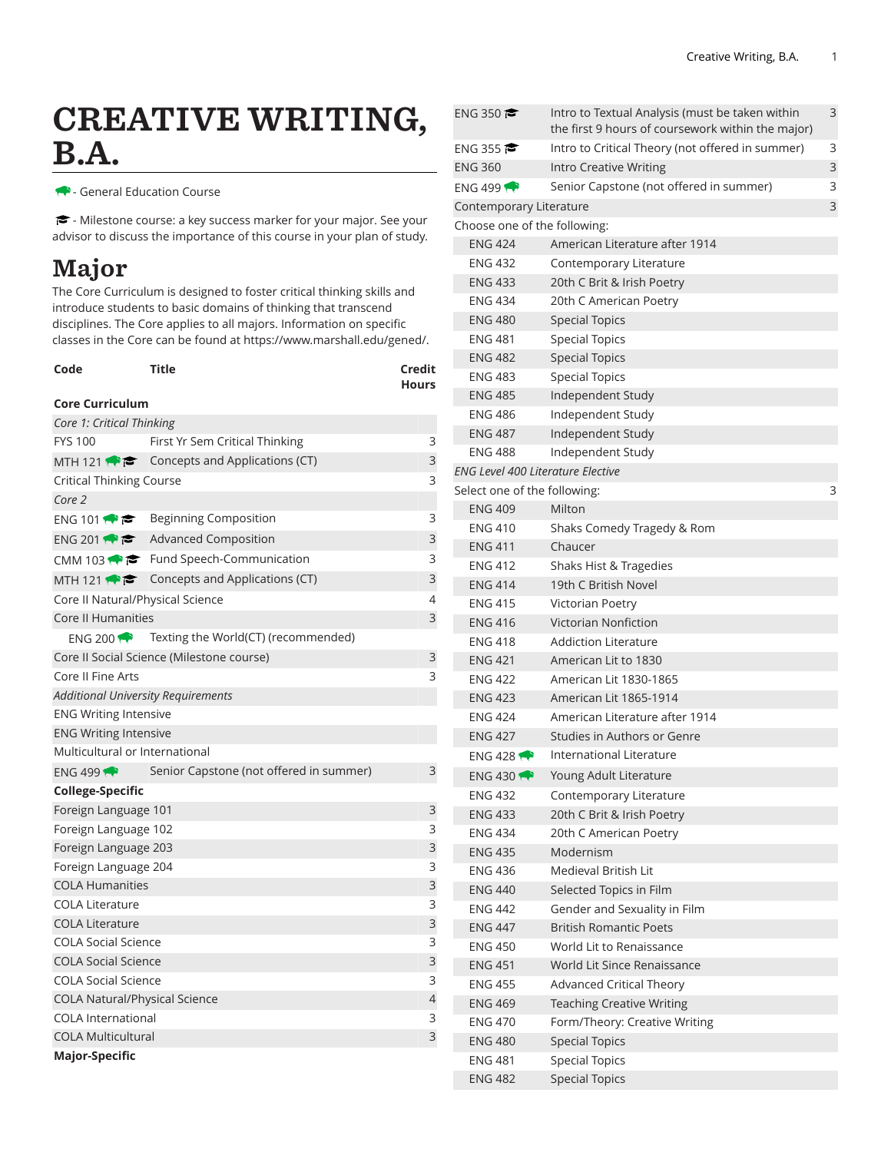# CREATIVE WRITING, B.A.

- General Education Course

- Milestone course: a key success marker for your major. See your advisor to discuss the importance of this course in your plan of study.

## Major

The Core Curriculum is designed to foster critical thinking skills and introduce students to basic domains of thinking that transcend disciplines. The Core applies to all majors. Information on specific classes in the Core can be found at [https://www.marshall.edu/gened/.](https://www.marshall.edu/gened/)

| Code                                      | Title                                                    | <b>Credit</b><br><b>Hours</b> |  |  |
|-------------------------------------------|----------------------------------------------------------|-------------------------------|--|--|
| <b>Core Curriculum</b>                    |                                                          |                               |  |  |
| Core 1: Critical Thinking                 |                                                          |                               |  |  |
| <b>FYS 100</b>                            | First Yr Sem Critical Thinking                           | 3                             |  |  |
|                                           | MTH 121 $\leftrightarrow$ Concepts and Applications (CT) | 3                             |  |  |
| <b>Critical Thinking Course</b>           | 3                                                        |                               |  |  |
| Core 2                                    |                                                          |                               |  |  |
| ENG 101 $\leftrightarrow$ $\approx$       | Beginning Composition                                    | 3                             |  |  |
| ENG 201                                   | <b>Advanced Composition</b>                              | 3                             |  |  |
|                                           | CMM 103 $\bullet \bullet$ Fund Speech-Communication      | 3                             |  |  |
|                                           | MTH 121 $\bullet \bullet$ Concepts and Applications (CT) | 3                             |  |  |
| Core II Natural/Physical Science          |                                                          | 4                             |  |  |
| Core II Humanities                        |                                                          | 3                             |  |  |
| ENG 200                                   | Texting the World(CT) (recommended)                      |                               |  |  |
|                                           | Core II Social Science (Milestone course)                | 3                             |  |  |
| Core II Fine Arts                         |                                                          | 3                             |  |  |
| <b>Additional University Requirements</b> |                                                          |                               |  |  |
| <b>ENG Writing Intensive</b>              |                                                          |                               |  |  |
| <b>ENG Writing Intensive</b>              |                                                          |                               |  |  |
| Multicultural or International            |                                                          |                               |  |  |
| ENG 499                                   | Senior Capstone (not offered in summer)                  | 3                             |  |  |
| College-Specific                          |                                                          |                               |  |  |
| Foreign Language 101                      |                                                          | 3                             |  |  |
| Foreign Language 102                      |                                                          |                               |  |  |
| Foreign Language 203                      |                                                          | 3                             |  |  |
| Foreign Language 204                      |                                                          | 3                             |  |  |
| <b>COLA Humanities</b>                    |                                                          | 3                             |  |  |
| <b>COLA Literature</b>                    |                                                          | 3                             |  |  |
| <b>COLA Literature</b>                    |                                                          | 3                             |  |  |
| <b>COLA Social Science</b>                |                                                          | 3                             |  |  |
| <b>COLA Social Science</b>                |                                                          | 3                             |  |  |
| <b>COLA Social Science</b>                |                                                          | 3                             |  |  |
| <b>COLA Natural/Physical Science</b>      |                                                          | 4                             |  |  |
| <b>COLA International</b>                 |                                                          | 3<br>3                        |  |  |
| <b>COLA Multicultural</b>                 |                                                          |                               |  |  |
| <b>Major-Specific</b>                     |                                                          |                               |  |  |

| ENG 350                                  | Intro to Textual Analysis (must be taken within   | 3 |  |  |  |
|------------------------------------------|---------------------------------------------------|---|--|--|--|
|                                          | the first 9 hours of coursework within the major) |   |  |  |  |
| ENG 355                                  | Intro to Critical Theory (not offered in summer)  | 3 |  |  |  |
| <b>ENG 360</b>                           | <b>Intro Creative Writing</b>                     | 3 |  |  |  |
| ENG 499 $\rightarrow$                    | Senior Capstone (not offered in summer)           | 3 |  |  |  |
| Contemporary Literature                  |                                                   | 3 |  |  |  |
| Choose one of the following:             |                                                   |   |  |  |  |
| <b>ENG 424</b>                           | American Literature after 1914                    |   |  |  |  |
| <b>ENG 432</b>                           | Contemporary Literature                           |   |  |  |  |
| <b>ENG 433</b>                           | 20th C Brit & Irish Poetry                        |   |  |  |  |
| <b>ENG 434</b>                           | 20th C American Poetry                            |   |  |  |  |
| <b>ENG 480</b>                           | <b>Special Topics</b>                             |   |  |  |  |
| <b>ENG 481</b>                           | <b>Special Topics</b>                             |   |  |  |  |
| <b>ENG 482</b>                           | <b>Special Topics</b>                             |   |  |  |  |
| <b>ENG 483</b>                           | <b>Special Topics</b>                             |   |  |  |  |
| <b>ENG 485</b>                           | Independent Study                                 |   |  |  |  |
| <b>ENG 486</b>                           | Independent Study                                 |   |  |  |  |
| <b>ENG 487</b>                           | Independent Study                                 |   |  |  |  |
| <b>ENG 488</b>                           | Independent Study                                 |   |  |  |  |
| <b>ENG Level 400 Literature Elective</b> |                                                   |   |  |  |  |
| Select one of the following:             |                                                   | 3 |  |  |  |
| <b>ENG 409</b>                           | Milton                                            |   |  |  |  |
| <b>ENG 410</b>                           | Shaks Comedy Tragedy & Rom                        |   |  |  |  |
| <b>ENG 411</b>                           | Chaucer                                           |   |  |  |  |
| <b>ENG 412</b>                           | Shaks Hist & Tragedies                            |   |  |  |  |
| <b>ENG 414</b>                           | 19th C British Novel                              |   |  |  |  |
| <b>ENG 415</b>                           | Victorian Poetry                                  |   |  |  |  |
| <b>ENG 416</b>                           | Victorian Nonfiction                              |   |  |  |  |
| <b>ENG 418</b>                           | <b>Addiction Literature</b>                       |   |  |  |  |
| <b>ENG 421</b>                           | American Lit to 1830                              |   |  |  |  |
| <b>ENG 422</b>                           | American Lit 1830-1865                            |   |  |  |  |
| <b>ENG 423</b>                           | American Lit 1865-1914                            |   |  |  |  |
| <b>ENG 424</b>                           | American Literature after 1914                    |   |  |  |  |
| <b>ENG 427</b>                           | Studies in Authors or Genre                       |   |  |  |  |
| <b>ENG 428</b>                           | <b>International Literature</b>                   |   |  |  |  |
| ENG 430                                  | Young Adult Literature                            |   |  |  |  |
| <b>ENG 432</b>                           | Contemporary Literature                           |   |  |  |  |
| <b>ENG 433</b>                           | 20th C Brit & Irish Poetry                        |   |  |  |  |
| <b>ENG 434</b>                           | 20th C American Poetry                            |   |  |  |  |
| <b>ENG 435</b>                           | Modernism                                         |   |  |  |  |
| <b>ENG 436</b>                           | Medieval British Lit                              |   |  |  |  |
| <b>ENG 440</b>                           | Selected Topics in Film                           |   |  |  |  |
| <b>ENG 442</b>                           | Gender and Sexuality in Film                      |   |  |  |  |
| <b>ENG 447</b>                           | <b>British Romantic Poets</b>                     |   |  |  |  |
| <b>ENG 450</b>                           | World Lit to Renaissance                          |   |  |  |  |
| <b>ENG 451</b>                           | World Lit Since Renaissance                       |   |  |  |  |
| <b>ENG 455</b>                           | <b>Advanced Critical Theory</b>                   |   |  |  |  |
| <b>ENG 469</b>                           | <b>Teaching Creative Writing</b>                  |   |  |  |  |
| <b>ENG 470</b>                           | Form/Theory: Creative Writing                     |   |  |  |  |
| <b>ENG 480</b>                           | <b>Special Topics</b>                             |   |  |  |  |
| <b>ENG 481</b>                           | <b>Special Topics</b>                             |   |  |  |  |
| <b>ENG 482</b>                           | <b>Special Topics</b>                             |   |  |  |  |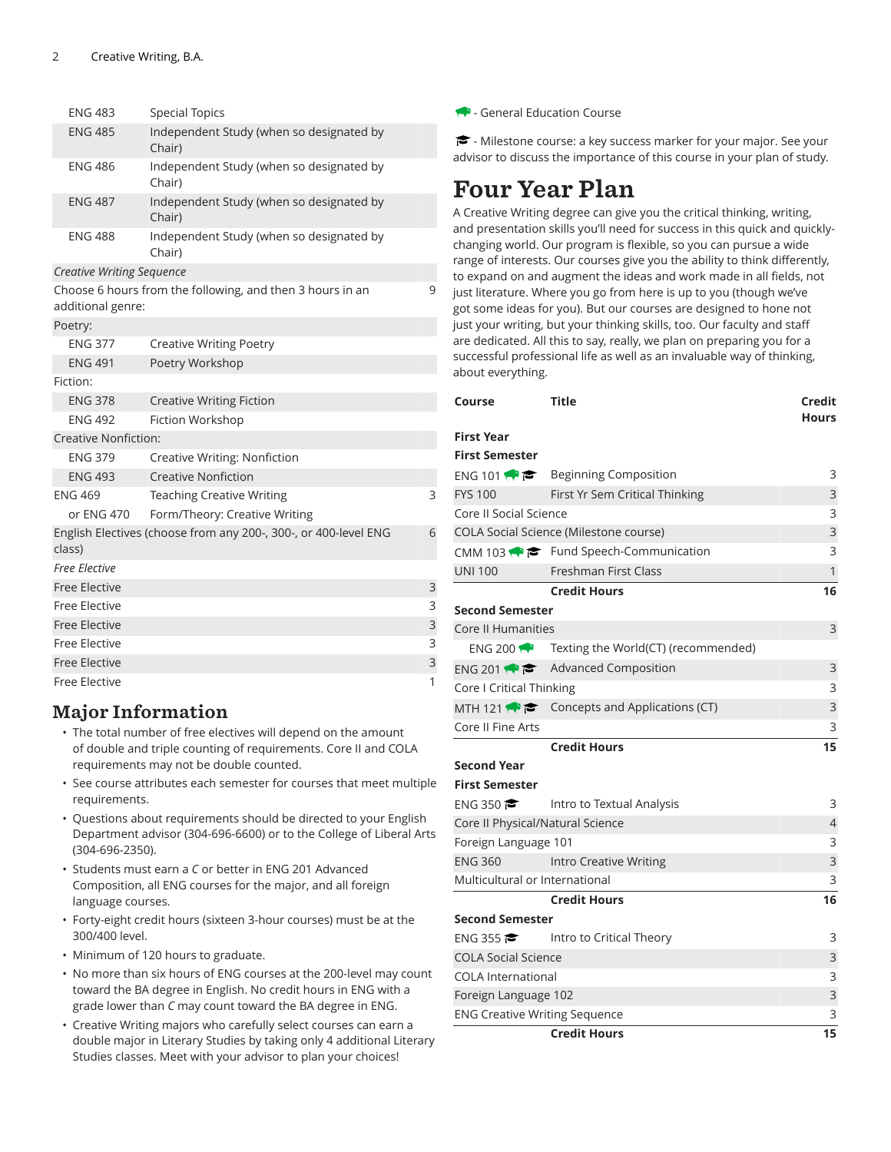| <b>ENG 483</b>                   | <b>Special Topics</b>                                           |   |
|----------------------------------|-----------------------------------------------------------------|---|
| <b>ENG 485</b>                   | Independent Study (when so designated by<br>Chair)              |   |
| ENG 486                          | Independent Study (when so designated by<br>Chair)              |   |
| <b>ENG 487</b>                   | Independent Study (when so designated by<br>Chair)              |   |
| <b>ENG 488</b>                   | Independent Study (when so designated by<br>Chair)              |   |
| <b>Creative Writing Sequence</b> |                                                                 |   |
| additional genre:                | Choose 6 hours from the following, and then 3 hours in an       | 9 |
| Poetry:                          |                                                                 |   |
| <b>ENG 377</b>                   | <b>Creative Writing Poetry</b>                                  |   |
| <b>ENG 491</b>                   | Poetry Workshop                                                 |   |
| Fiction:                         |                                                                 |   |
| <b>ENG 378</b>                   | <b>Creative Writing Fiction</b>                                 |   |
| <b>ENG 492</b>                   | Fiction Workshop                                                |   |
| Creative Nonfiction:             |                                                                 |   |
| <b>ENG 379</b>                   | Creative Writing: Nonfiction                                    |   |
| <b>ENG 493</b>                   | <b>Creative Nonfiction</b>                                      |   |
| <b>ENG 469</b>                   | <b>Teaching Creative Writing</b>                                | 3 |
| or ENG 470                       | Form/Theory: Creative Writing                                   |   |
| class)                           | English Electives (choose from any 200-, 300-, or 400-level ENG | 6 |
| <b>Free Elective</b>             |                                                                 |   |
| <b>Free Elective</b>             |                                                                 | 3 |
| Free Elective                    |                                                                 | 3 |
| Free Elective                    |                                                                 | 3 |
| Free Elective                    |                                                                 | 3 |
| Free Elective                    |                                                                 | 3 |
| <b>Free Elective</b>             |                                                                 | 1 |

#### Major Information

- The total number of free electives will depend on the amount of double and triple counting of requirements. Core II and COLA requirements may not be double counted.
- See course attributes each semester for courses that meet multiple requirements.
- Questions about requirements should be directed to your English Department advisor (304-696-6600) or to the College of Liberal Arts (304-696-2350).
- Students must earn a *C* or better in ENG 201 Advanced Composition, all ENG courses for the major, and all foreign language courses.
- Forty-eight credit hours (sixteen 3-hour courses) must be at the 300/400 level.
- Minimum of 120 hours to graduate.
- No more than six hours of ENG courses at the 200-level may count toward the BA degree in English. No credit hours in ENG with a grade lower than *C* may count toward the BA degree in ENG.
- Creative Writing majors who carefully select courses can earn a double major in Literary Studies by taking only 4 additional Literary Studies classes. Meet with your advisor to plan your choices!

- General Education Course

 $\blacktriangleright$  - Milestone course: a key success marker for your major. See your advisor to discuss the importance of this course in your plan of study.

### Four Year Plan

A Creative Writing degree can give you the critical thinking, writing, and presentation skills you'll need for success in this quick and quicklychanging world. Our program is flexible, so you can pursue a wide range of interests. Our courses give you the ability to think differently, to expand on and augment the ideas and work made in all fields, not just literature. Where you go from here is up to you (though we've got some ideas for you). But our courses are designed to hone not just your writing, but your thinking skills, too. Our faculty and staff are dedicated. All this to say, really, we plan on preparing you for a successful professional life as well as an invaluable way of thinking, about everything.

| Course                         | Title                                                     | Credit<br>Hours |
|--------------------------------|-----------------------------------------------------------|-----------------|
| First Year                     |                                                           |                 |
| <b>First Semester</b>          |                                                           |                 |
|                                | ENG 101 $\bullet \bullet$ Beginning Composition           | 3               |
| <b>FYS 100</b>                 | First Yr Sem Critical Thinking                            | 3               |
| Core II Social Science         |                                                           | 3               |
|                                | <b>COLA Social Science (Milestone course)</b>             | 3               |
|                                | CMM 103 $\bullet \bullet$ Fund Speech-Communication       | 3               |
| <b>UNI 100</b>                 | Freshman First Class                                      | $\mathbf{1}$    |
|                                | <b>Credit Hours</b>                                       | 16              |
| Second Semester                |                                                           |                 |
| Core II Humanities             |                                                           | 3               |
|                                | ENG 200 $\rightarrow$ Texting the World(CT) (recommended) |                 |
|                                | ENG 201 $\bullet$ $\bullet$ Advanced Composition          | 3               |
| Core I Critical Thinking       |                                                           | 3               |
|                                | MTH 121 $\leftrightarrow$ Concepts and Applications (CT)  | 3               |
| Core II Fine Arts              |                                                           | 3               |
|                                | <b>Credit Hours</b>                                       | 15              |
| Second Year                    |                                                           |                 |
| <b>First Semester</b>          |                                                           |                 |
| ENG 350                        | Intro to Textual Analysis                                 | 3               |
|                                | Core II Physical/Natural Science                          | 4               |
| Foreign Language 101           |                                                           | 3               |
| <b>ENG 360</b>                 | Intro Creative Writing                                    | 3               |
| Multicultural or International |                                                           | 3               |
|                                | <b>Credit Hours</b>                                       | 16              |
| Second Semester                |                                                           |                 |
|                                | <b>ENG 355 C</b> Intro to Critical Theory                 | 3               |
| <b>COLA Social Science</b>     |                                                           | 3               |
| <b>COLA International</b>      | 3                                                         |                 |
| Foreign Language 102           |                                                           | 3               |
|                                | <b>ENG Creative Writing Sequence</b>                      | 3               |
|                                | <b>Credit Hours</b>                                       | 15              |